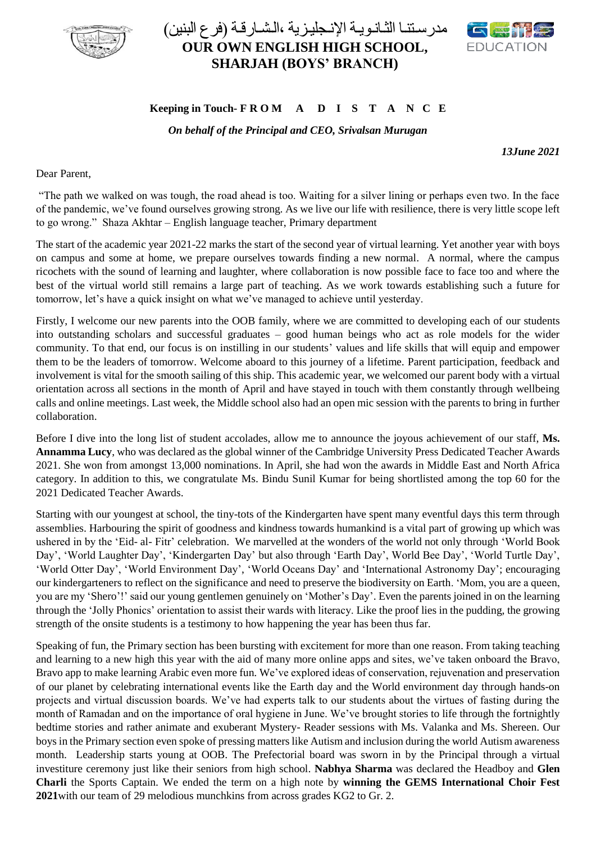

## مدر سـتنـا الثـانـويـة الإنـجليـزيـة ،الـشـار قـة (فرع البنين) **OUR OWN ENGLISH HIGH SCHOOL, SHARJAH (BOYS' BRANCH)**



## **Keeping in Touch- F R O M A D I S T A N C E**

*On behalf of the Principal and CEO, Srivalsan Murugan*

*13June 2021*

Dear Parent,

"The path we walked on was tough, the road ahead is too. Waiting for a silver lining or perhaps even two. In the face of the pandemic, we've found ourselves growing strong. As we live our life with resilience, there is very little scope left to go wrong." Shaza Akhtar – English language teacher, Primary department

The start of the academic year 2021-22 marks the start of the second year of virtual learning. Yet another year with boys on campus and some at home, we prepare ourselves towards finding a new normal. A normal, where the campus ricochets with the sound of learning and laughter, where collaboration is now possible face to face too and where the best of the virtual world still remains a large part of teaching. As we work towards establishing such a future for tomorrow, let's have a quick insight on what we've managed to achieve until yesterday.

Firstly, I welcome our new parents into the OOB family, where we are committed to developing each of our students into outstanding scholars and successful graduates – good human beings who act as role models for the wider community. To that end, our focus is on instilling in our students' values and life skills that will equip and empower them to be the leaders of tomorrow. Welcome aboard to this journey of a lifetime. Parent participation, feedback and involvement is vital for the smooth sailing of this ship. This academic year, we welcomed our parent body with a virtual orientation across all sections in the month of April and have stayed in touch with them constantly through wellbeing calls and online meetings. Last week, the Middle school also had an open mic session with the parents to bring in further collaboration.

Before I dive into the long list of student accolades, allow me to announce the joyous achievement of our staff, **Ms. Annamma Lucy**, who was declared as the global winner of the Cambridge University Press Dedicated Teacher Awards 2021. She won from amongst 13,000 nominations. In April, she had won the awards in Middle East and North Africa category. In addition to this, we congratulate Ms. Bindu Sunil Kumar for being shortlisted among the top 60 for the 2021 Dedicated Teacher Awards.

Starting with our youngest at school, the tiny-tots of the Kindergarten have spent many eventful days this term through assemblies. Harbouring the spirit of goodness and kindness towards humankind is a vital part of growing up which was ushered in by the 'Eid- al- Fitr' celebration. We marvelled at the wonders of the world not only through 'World Book Day', 'World Laughter Day', 'Kindergarten Day' but also through 'Earth Day', World Bee Day', 'World Turtle Day', 'World Otter Day', 'World Environment Day', 'World Oceans Day' and 'International Astronomy Day'; encouraging our kindergarteners to reflect on the significance and need to preserve the biodiversity on Earth. 'Mom, you are a queen, you are my 'Shero'!' said our young gentlemen genuinely on 'Mother's Day'. Even the parents joined in on the learning through the 'Jolly Phonics' orientation to assist their wards with literacy. Like the proof lies in the pudding, the growing strength of the onsite students is a testimony to how happening the year has been thus far.

Speaking of fun, the Primary section has been bursting with excitement for more than one reason. From taking teaching and learning to a new high this year with the aid of many more online apps and sites, we've taken onboard the Bravo, Bravo app to make learning Arabic even more fun. We've explored ideas of conservation, rejuvenation and preservation of our planet by celebrating international events like the Earth day and the World environment day through hands-on projects and virtual discussion boards. We've had experts talk to our students about the virtues of fasting during the month of Ramadan and on the importance of oral hygiene in June. We've brought stories to life through the fortnightly bedtime stories and rather animate and exuberant Mystery- Reader sessions with Ms. Valanka and Ms. Shereen. Our boys in the Primary section even spoke of pressing matters like Autism and inclusion during the world Autism awareness month. Leadership starts young at OOB. The Prefectorial board was sworn in by the Principal through a virtual investiture ceremony just like their seniors from high school. **Nabhya Sharma** was declared the Headboy and **Glen Charli** the Sports Captain. We ended the term on a high note by **winning the GEMS International Choir Fest 2021**with our team of 29 melodious munchkins from across grades KG2 to Gr. 2.